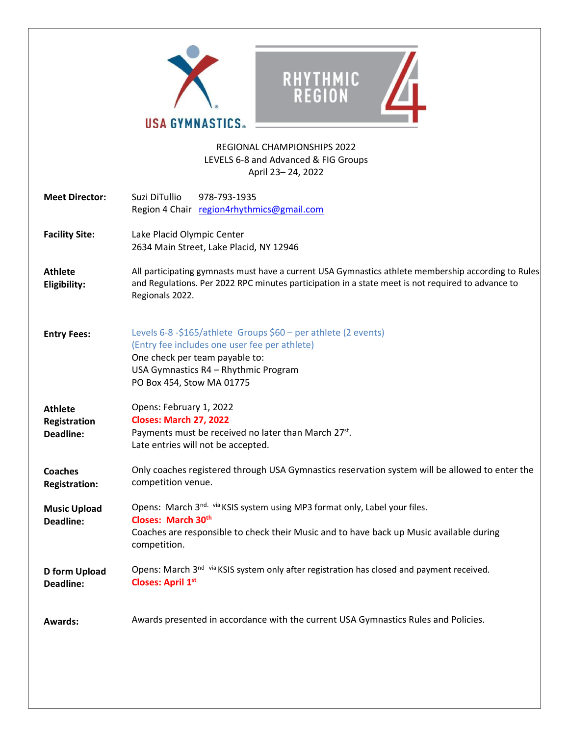|                                                    | RHYTHMIC<br><b>REGION</b><br><b>USA GYMNASTICS.</b>                                                                                                                                                                         |
|----------------------------------------------------|-----------------------------------------------------------------------------------------------------------------------------------------------------------------------------------------------------------------------------|
|                                                    | <b>REGIONAL CHAMPIONSHIPS 2022</b><br>LEVELS 6-8 and Advanced & FIG Groups<br>April 23-24, 2022                                                                                                                             |
| <b>Meet Director:</b>                              | Suzi DiTullio<br>978-793-1935<br>Region 4 Chair region4rhythmics@gmail.com                                                                                                                                                  |
| <b>Facility Site:</b>                              | Lake Placid Olympic Center<br>2634 Main Street, Lake Placid, NY 12946                                                                                                                                                       |
| <b>Athlete</b><br>Eligibility:                     | All participating gymnasts must have a current USA Gymnastics athlete membership according to Rules<br>and Regulations. Per 2022 RPC minutes participation in a state meet is not required to advance to<br>Regionals 2022. |
| <b>Entry Fees:</b>                                 | Levels 6-8 -\$165/athlete Groups \$60 - per athlete (2 events)<br>(Entry fee includes one user fee per athlete)<br>One check per team payable to:<br>USA Gymnastics R4 - Rhythmic Program<br>PO Box 454, Stow MA 01775      |
| <b>Athlete</b><br>Registration<br><b>Deadline:</b> | Opens: February 1, 2022<br><b>Closes: March 27, 2022</b><br>Payments must be received no later than March 27st.<br>Late entries will not be accepted.                                                                       |
| <b>Coaches</b><br><b>Registration:</b>             | Only coaches registered through USA Gymnastics reservation system will be allowed to enter the<br>competition venue.                                                                                                        |
| <b>Music Upload</b><br><b>Deadline:</b>            | Opens: March 3 <sup>nd. via</sup> KSIS system using MP3 format only, Label your files.<br>Closes: March 30th<br>Coaches are responsible to check their Music and to have back up Music available during<br>competition.     |
| D form Upload<br><b>Deadline:</b>                  | Opens: March 3 <sup>nd via</sup> KSIS system only after registration has closed and payment received.<br><b>Closes: April 1st</b>                                                                                           |
| <b>Awards:</b>                                     | Awards presented in accordance with the current USA Gymnastics Rules and Policies.                                                                                                                                          |